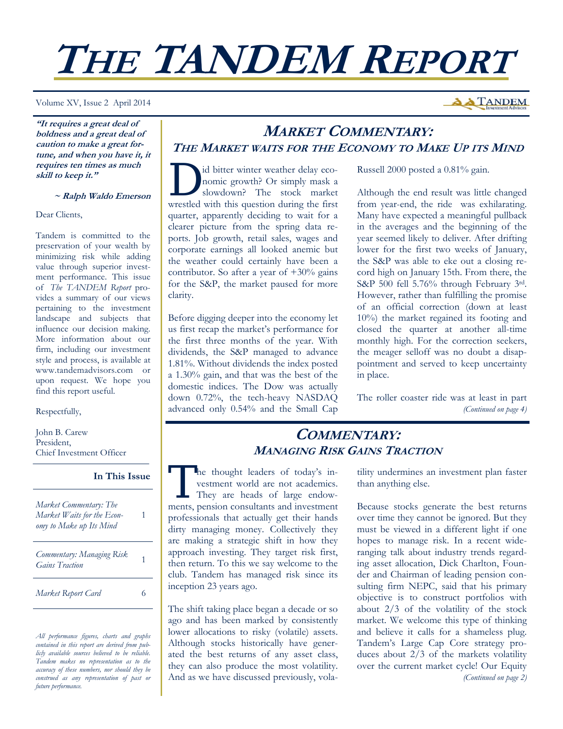# **THE TANDEM REPORT**

Volume XV, Issue 2 April 2014

**A TANDEM** 

**"It requires a great deal of boldness and a great deal of caution to make a great fortune, and when you have it, it requires ten times as much skill to keep it."** 

 **~ Ralph Waldo Emerson**

Dear Clients,

Tandem is committed to the preservation of your wealth by minimizing risk while adding value through superior investment performance. This issue of *The TANDEM Report* provides a summary of our views pertaining to the investment landscape and subjects that influence our decision making. More information about our firm, including our investment style and process, is available at www.tandemadvisors.com or upon request. We hope you find this report useful.

Respectfully,

John B. Carew President, Chief Investment Officer

## **In This Issue**

| Market Commentary: The<br>Market Waits for the Econ-<br>omy to Make up Its Mind |  |
|---------------------------------------------------------------------------------|--|
| Commentary: Managing Risk<br><b>Gains Traction</b>                              |  |
| Market Report Card                                                              |  |

*All performance figures, charts and graphs contained in this report are derived from publicly available sources believed to be reliable. Tandem makes no representation as to the accuracy of these numbers, nor should they be construed as any representation of past or future performance.* 

# **MARKET COMMENTARY: THE MARKET WAITS FOR THE ECONOMY TO MAKE UP ITS MIND**

I id bitter winter weather delay eco-<br>nomic growth? Or simply mask a<br>slowdown? The stock market nomic growth? Or simply mask a slowdown? The stock market wrestled with this question during the first quarter, apparently deciding to wait for a clearer picture from the spring data reports. Job growth, retail sales, wages and corporate earnings all looked anemic but the weather could certainly have been a contributor. So after a year of  $+30\%$  gains for the S&P, the market paused for more clarity.

Before digging deeper into the economy let us first recap the market's performance for the first three months of the year. With dividends, the S&P managed to advance 1.81%. Without dividends the index posted a 1.30% gain, and that was the best of the domestic indices. The Dow was actually down 0.72%, the tech-heavy NASDAQ advanced only 0.54% and the Small Cap Russell 2000 posted a 0.81% gain.

Although the end result was little changed from year-end, the ride was exhilarating. Many have expected a meaningful pullback in the averages and the beginning of the year seemed likely to deliver. After drifting lower for the first two weeks of January, the S&P was able to eke out a closing record high on January 15th. From there, the S&P 500 fell 5.76% through February 3rd. However, rather than fulfilling the promise of an official correction (down at least 10%) the market regained its footing and closed the quarter at another all-time monthly high. For the correction seekers, the meager selloff was no doubt a disappointment and served to keep uncertainty in place.

The roller coaster ride was at least in part *(Continued on page 4)* 

# **COMMENTARY: MANAGING RISK GAINS TRACTION**

The thought leaders of today's investment world are not academics.<br>They are heads of large endowvestment world are not academics. ments, pension consultants and investment professionals that actually get their hands dirty managing money. Collectively they are making a strategic shift in how they approach investing. They target risk first, then return. To this we say welcome to the club. Tandem has managed risk since its inception 23 years ago.

The shift taking place began a decade or so ago and has been marked by consistently lower allocations to risky (volatile) assets. Although stocks historically have generated the best returns of any asset class, they can also produce the most volatility. And as we have discussed previously, volatility undermines an investment plan faster than anything else.

Because stocks generate the best returns over time they cannot be ignored. But they must be viewed in a different light if one hopes to manage risk. In a recent wideranging talk about industry trends regarding asset allocation, Dick Charlton, Founder and Chairman of leading pension consulting firm NEPC, said that his primary objective is to construct portfolios with about 2/3 of the volatility of the stock market. We welcome this type of thinking and believe it calls for a shameless plug. Tandem's Large Cap Core strategy produces about 2/3 of the markets volatility over the current market cycle! Our Equity *(Continued on page 2)*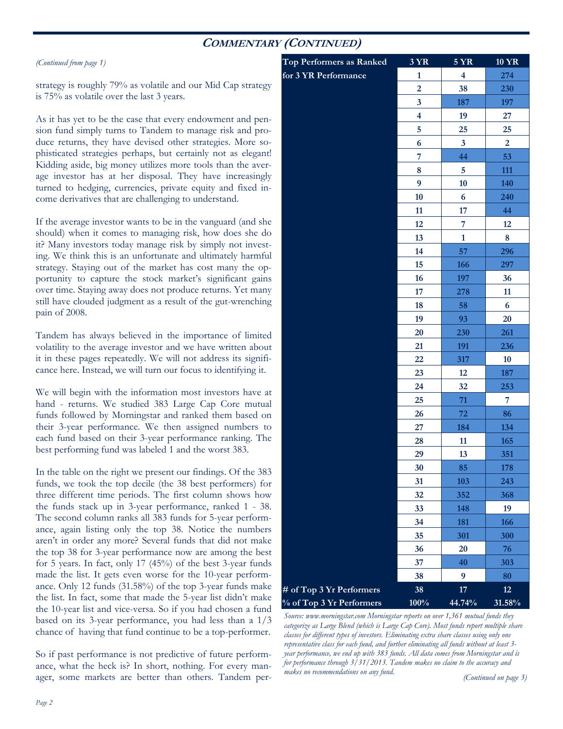# **COMMENTARY (CONTINUED)**

#### *(Continued from page 1)*

strategy is roughly 79% as volatile and our Mid Cap strategy is 75% as volatile over the last 3 years.

As it has yet to be the case that every endowment and pension fund simply turns to Tandem to manage risk and produce returns, they have devised other strategies. More sophisticated strategies perhaps, but certainly not as elegant! Kidding aside, big money utilizes more tools than the average investor has at her disposal. They have increasingly turned to hedging, currencies, private equity and fixed income derivatives that are challenging to understand.

If the average investor wants to be in the vanguard (and she should) when it comes to managing risk, how does she do it? Many investors today manage risk by simply not investing. We think this is an unfortunate and ultimately harmful strategy. Staying out of the market has cost many the opportunity to capture the stock market's significant gains over time. Staying away does not produce returns. Yet many still have clouded judgment as a result of the gut-wrenching pain of 2008.

Tandem has always believed in the importance of limited volatility to the average investor and we have written about it in these pages repeatedly. We will not address its significance here. Instead, we will turn our focus to identifying it.

We will begin with the information most investors have at hand - returns. We studied 383 Large Cap Core mutual funds followed by Morningstar and ranked them based on their 3-year performance. We then assigned numbers to each fund based on their 3-year performance ranking. The best performing fund was labeled 1 and the worst 383.

In the table on the right we present our findings. Of the 383 funds, we took the top decile (the 38 best performers) for three different time periods. The first column shows how the funds stack up in 3-year performance, ranked 1 - 38. The second column ranks all 383 funds for 5-year performance, again listing only the top 38. Notice the numbers aren't in order any more? Several funds that did not make the top 38 for 3-year performance now are among the best for 5 years. In fact, only 17 (45%) of the best 3-year funds made the list. It gets even worse for the 10-year performance. Only 12 funds (31.58%) of the top 3-year funds make the list. In fact, some that made the 5-year list didn't make the 10-year list and vice-versa. So if you had chosen a fund based on its 3-year performance, you had less than a 1/3 chance of having that fund continue to be a top-performer.

So if past performance is not predictive of future performance, what the heck is? In short, nothing. For every manager, some markets are better than others. Tandem per-

| Top Performers as Ranked | <b>3 YR</b>             | <b>5 YR</b>             | <b>10 YR</b>   |
|--------------------------|-------------------------|-------------------------|----------------|
| for 3 YR Performance     | $\mathbf{1}$            | $\overline{\mathbf{4}}$ | 274            |
|                          | $\overline{2}$          | 38                      | 230            |
|                          | $\overline{\mathbf{3}}$ | 187                     | 197            |
|                          | $\overline{\mathbf{4}}$ | 19                      | 27             |
|                          | 5                       | 25                      | 25             |
|                          | $\boldsymbol{6}$        | $\mathbf{3}$            | $\overline{2}$ |
|                          | $\overline{7}$          | 44                      | 53             |
|                          | 8                       | 5                       | 111            |
|                          | 9                       | 10                      | 140            |
|                          | 10                      | 6                       | 240            |
|                          | 11                      | 17                      | 44             |
|                          | 12                      | 7                       | 12             |
|                          | 13                      | $\mathbf{1}$            | 8              |
|                          | 14                      | 57                      | 296            |
|                          | 15                      | 166                     | 297            |
|                          | 16                      | 197                     | 36             |
|                          | 17                      | 278                     | 11             |
|                          | 18                      | 58                      | 6              |
|                          | 19                      | 93                      | 20             |
|                          | 20                      | 230                     | 261            |
|                          | 21                      | 191                     | 236            |
|                          | 22                      | 317                     | 10             |
|                          | 23                      | 12                      | 187            |
|                          | 24                      | 32                      | 253            |
|                          | 25                      | 71                      | 7              |
|                          | 26                      | 72                      | 86             |
|                          | 27                      | 184                     | 134            |
|                          | 28                      | 11                      | 165            |
|                          | 29                      | 13                      | 351            |
|                          | 30                      | 85                      | 178            |
|                          | 31                      | 103                     | 243            |
|                          | 32                      | 352                     | 368            |
|                          | 33                      | 148                     | 19             |
|                          | 34                      | 181                     | 166            |
|                          | 35                      | 301                     | 300            |
|                          | 36                      | 20                      | 76             |
|                          | 37                      | 40                      | 303            |
|                          | 38                      | $\boldsymbol{9}$        | 80             |
| # of Top 3 Yr Performers | 38                      | 17                      | 12             |
| % of Top 3 Yr Performers | 100%                    | 44.74%                  | 31.58%         |

*Source: www.morningstar.com Morningstar reports on over 1,361 mutual funds they categorize as Large Blend (which is Large Cap Core). Most funds report multiple share classes for different types of investors. Eliminating extra share classes using only one representative class for each fund, and further eliminating all funds without at least 3 year performance, we end up with 383 funds. All data comes from Morningstar and is for performance through 3/31/2013. Tandem makes no claim to the accuracy and makes no recommendations on any fund.* 

*(Continued on page 3)*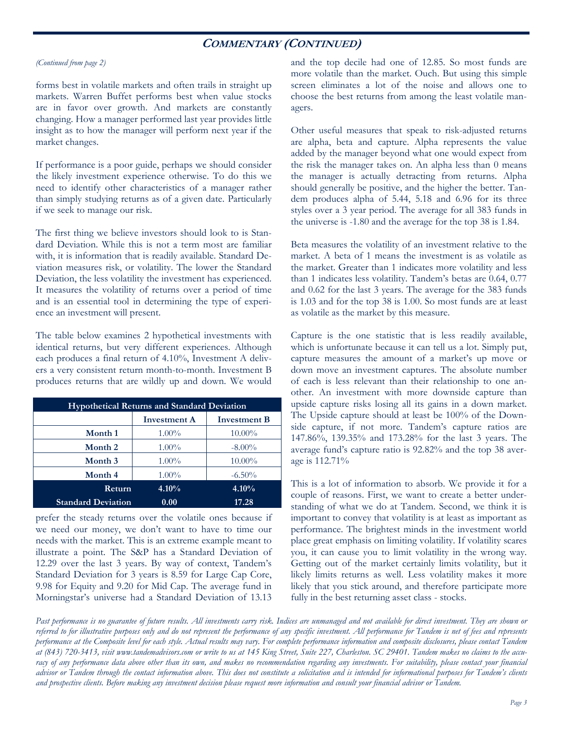# **COMMENTARY (CONTINUED)**

#### *(Continued from page 2)*

forms best in volatile markets and often trails in straight up markets. Warren Buffet performs best when value stocks are in favor over growth. And markets are constantly changing. How a manager performed last year provides little insight as to how the manager will perform next year if the market changes.

If performance is a poor guide, perhaps we should consider the likely investment experience otherwise. To do this we need to identify other characteristics of a manager rather than simply studying returns as of a given date. Particularly if we seek to manage our risk.

The first thing we believe investors should look to is Standard Deviation. While this is not a term most are familiar with, it is information that is readily available. Standard Deviation measures risk, or volatility. The lower the Standard Deviation, the less volatility the investment has experienced. It measures the volatility of returns over a period of time and is an essential tool in determining the type of experience an investment will present.

The table below examines 2 hypothetical investments with identical returns, but very different experiences. Although each produces a final return of 4.10%, Investment A delivers a very consistent return month-to-month. Investment B produces returns that are wildly up and down. We would

| <b>Hypothetical Returns and Standard Deviation</b> |                     |                     |  |  |
|----------------------------------------------------|---------------------|---------------------|--|--|
|                                                    | <b>Investment A</b> | <b>Investment B</b> |  |  |
| Month 1                                            | $1.00\%$            | 10.00%              |  |  |
| Month 2                                            | $1.00\%$            | $-8.00\%$           |  |  |
| Month 3                                            | $1.00\%$            | $10.00\%$           |  |  |
| Month 4                                            | $1.00\%$            | $-6.50\%$           |  |  |
| <b>Return</b>                                      | $4.10\%$            | $4.10\%$            |  |  |
| <b>Standard Deviation</b>                          | 0.00                | 17.28               |  |  |

prefer the steady returns over the volatile ones because if we need our money, we don't want to have to time our needs with the market. This is an extreme example meant to illustrate a point. The S&P has a Standard Deviation of 12.29 over the last 3 years. By way of context, Tandem's Standard Deviation for 3 years is 8.59 for Large Cap Core, 9.98 for Equity and 9.20 for Mid Cap. The average fund in Morningstar's universe had a Standard Deviation of 13.13

and the top decile had one of 12.85. So most funds are more volatile than the market. Ouch. But using this simple screen eliminates a lot of the noise and allows one to choose the best returns from among the least volatile managers.

Other useful measures that speak to risk-adjusted returns are alpha, beta and capture. Alpha represents the value added by the manager beyond what one would expect from the risk the manager takes on. An alpha less than 0 means the manager is actually detracting from returns. Alpha should generally be positive, and the higher the better. Tandem produces alpha of 5.44, 5.18 and 6.96 for its three styles over a 3 year period. The average for all 383 funds in the universe is -1.80 and the average for the top 38 is 1.84.

Beta measures the volatility of an investment relative to the market. A beta of 1 means the investment is as volatile as the market. Greater than 1 indicates more volatility and less than 1 indicates less volatility. Tandem's betas are 0.64, 0.77 and 0.62 for the last 3 years. The average for the 383 funds is 1.03 and for the top 38 is 1.00. So most funds are at least as volatile as the market by this measure.

Capture is the one statistic that is less readily available, which is unfortunate because it can tell us a lot. Simply put, capture measures the amount of a market's up move or down move an investment captures. The absolute number of each is less relevant than their relationship to one another. An investment with more downside capture than upside capture risks losing all its gains in a down market. The Upside capture should at least be 100% of the Downside capture, if not more. Tandem's capture ratios are 147.86%, 139.35% and 173.28% for the last 3 years. The average fund's capture ratio is 92.82% and the top 38 average is 112.71%

This is a lot of information to absorb. We provide it for a couple of reasons. First, we want to create a better understanding of what we do at Tandem. Second, we think it is important to convey that volatility is at least as important as performance. The brightest minds in the investment world place great emphasis on limiting volatility. If volatility scares you, it can cause you to limit volatility in the wrong way. Getting out of the market certainly limits volatility, but it likely limits returns as well. Less volatility makes it more likely that you stick around, and therefore participate more fully in the best returning asset class - stocks.

Past performance is no guarantee of future results. All investments carry risk. Indices are unmanaged and not available for direct investment. They are shown or *referred to for illustrative purposes only and do not represent the performance of any specific investment. All performance for Tandem is net of fees and represents performance at the Composite level for each style. Actual results may vary. For complete performance information and composite disclosures, please contact Tandem at (843) 720-3413, visit www.tandemadvisors.com or write to us at 145 King Street, Suite 227, Charleston. SC 29401. Tandem makes no claims to the accu*racy of any performance data above other than its own, and makes no recommendation regarding any investments. For suitability, please contact your financial *advisor or Tandem through the contact information above. This does not constitute a solicitation and is intended for informational purposes for Tandem's clients and prospective clients. Before making any investment decision please request more information and consult your financial advisor or Tandem.*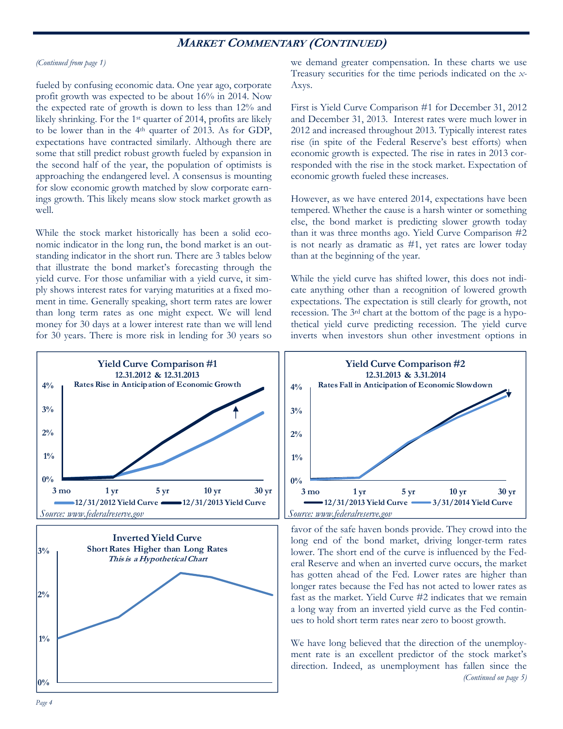## **MARKET COMMENTARY (CONTINUED)**

#### *(Continued from page 1)*

fueled by confusing economic data. One year ago, corporate profit growth was expected to be about 16% in 2014. Now the expected rate of growth is down to less than 12% and likely shrinking. For the 1st quarter of 2014, profits are likely to be lower than in the 4<sup>th</sup> quarter of 2013. As for GDP, expectations have contracted similarly. Although there are some that still predict robust growth fueled by expansion in the second half of the year, the population of optimists is approaching the endangered level. A consensus is mounting for slow economic growth matched by slow corporate earnings growth. This likely means slow stock market growth as well.

While the stock market historically has been a solid economic indicator in the long run, the bond market is an outstanding indicator in the short run. There are 3 tables below that illustrate the bond market's forecasting through the yield curve. For those unfamiliar with a yield curve, it simply shows interest rates for varying maturities at a fixed moment in time. Generally speaking, short term rates are lower than long term rates as one might expect. We will lend money for 30 days at a lower interest rate than we will lend for 30 years. There is more risk in lending for 30 years so we demand greater compensation. In these charts we use Treasury securities for the time periods indicated on the *x-*Axys.

First is Yield Curve Comparison #1 for December 31, 2012 and December 31, 2013. Interest rates were much lower in 2012 and increased throughout 2013. Typically interest rates rise (in spite of the Federal Reserve's best efforts) when economic growth is expected. The rise in rates in 2013 corresponded with the rise in the stock market. Expectation of economic growth fueled these increases.

However, as we have entered 2014, expectations have been tempered. Whether the cause is a harsh winter or something else, the bond market is predicting slower growth today than it was three months ago. Yield Curve Comparison #2 is not nearly as dramatic as #1, yet rates are lower today than at the beginning of the year.

While the yield curve has shifted lower, this does not indicate anything other than a recognition of lowered growth expectations. The expectation is still clearly for growth, not recession. The 3rd chart at the bottom of the page is a hypothetical yield curve predicting recession. The yield curve inverts when investors shun other investment options in







favor of the safe haven bonds provide. They crowd into the long end of the bond market, driving longer-term rates lower. The short end of the curve is influenced by the Federal Reserve and when an inverted curve occurs, the market has gotten ahead of the Fed. Lower rates are higher than longer rates because the Fed has not acted to lower rates as fast as the market. Yield Curve #2 indicates that we remain a long way from an inverted yield curve as the Fed continues to hold short term rates near zero to boost growth.

We have long believed that the direction of the unemployment rate is an excellent predictor of the stock market's direction. Indeed, as unemployment has fallen since the *(Continued on page 5)*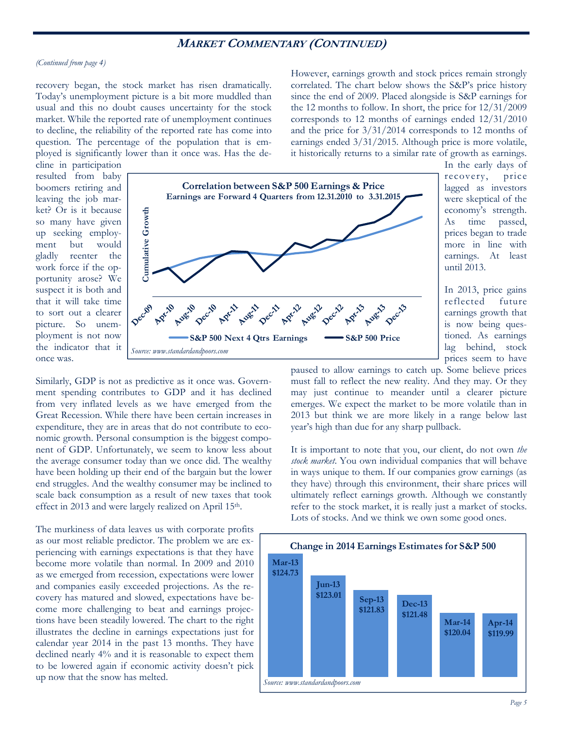## **MARKET COMMENTARY (CONTINUED)**

#### *(Continued from page 4)*

recovery began, the stock market has risen dramatically. Today's unemployment picture is a bit more muddled than usual and this no doubt causes uncertainty for the stock market. While the reported rate of unemployment continues to decline, the reliability of the reported rate has come into question. The percentage of the population that is employed is significantly lower than it once was. Has the deHowever, earnings growth and stock prices remain strongly correlated. The chart below shows the S&P's price history since the end of 2009. Placed alongside is S&P earnings for the 12 months to follow. In short, the price for 12/31/2009 corresponds to 12 months of earnings ended 12/31/2010 and the price for 3/31/2014 corresponds to 12 months of earnings ended 3/31/2015. Although price is more volatile, it historically returns to a similar rate of growth as earnings.

cline in participation resulted from baby boomers retiring and leaving the job market? Or is it because so many have given up seeking employment but would gladly reenter the work force if the opportunity arose? We suspect it is both and that it will take time to sort out a clearer picture. So unemployment is not now the indicator that it once was.



In the early days of recovery, price lagged as investors were skeptical of the economy's strength. As time passed, prices began to trade more in line with earnings. At least until 2013.

In 2013, price gains reflected future earnings growth that is now being questioned. As earnings lag behind, stock prices seem to have

Similarly, GDP is not as predictive as it once was. Government spending contributes to GDP and it has declined from very inflated levels as we have emerged from the Great Recession. While there have been certain increases in expenditure, they are in areas that do not contribute to economic growth. Personal consumption is the biggest component of GDP. Unfortunately, we seem to know less about the average consumer today than we once did. The wealthy have been holding up their end of the bargain but the lower end struggles. And the wealthy consumer may be inclined to scale back consumption as a result of new taxes that took effect in 2013 and were largely realized on April 15<sup>th</sup>.

The murkiness of data leaves us with corporate profits as our most reliable predictor. The problem we are experiencing with earnings expectations is that they have become more volatile than normal. In 2009 and 2010 as we emerged from recession, expectations were lower and companies easily exceeded projections. As the recovery has matured and slowed, expectations have become more challenging to beat and earnings projections have been steadily lowered. The chart to the right illustrates the decline in earnings expectations just for calendar year 2014 in the past 13 months. They have declined nearly 4% and it is reasonable to expect them to be lowered again if economic activity doesn't pick up now that the snow has melted.

paused to allow earnings to catch up. Some believe prices must fall to reflect the new reality. And they may. Or they may just continue to meander until a clearer picture emerges. We expect the market to be more volatile than in 2013 but think we are more likely in a range below last year's high than due for any sharp pullback.

It is important to note that you, our client, do not own *the stock market*. You own individual companies that will behave in ways unique to them. If our companies grow earnings (as they have) through this environment, their share prices will ultimately reflect earnings growth. Although we constantly refer to the stock market, it is really just a market of stocks. Lots of stocks. And we think we own some good ones.